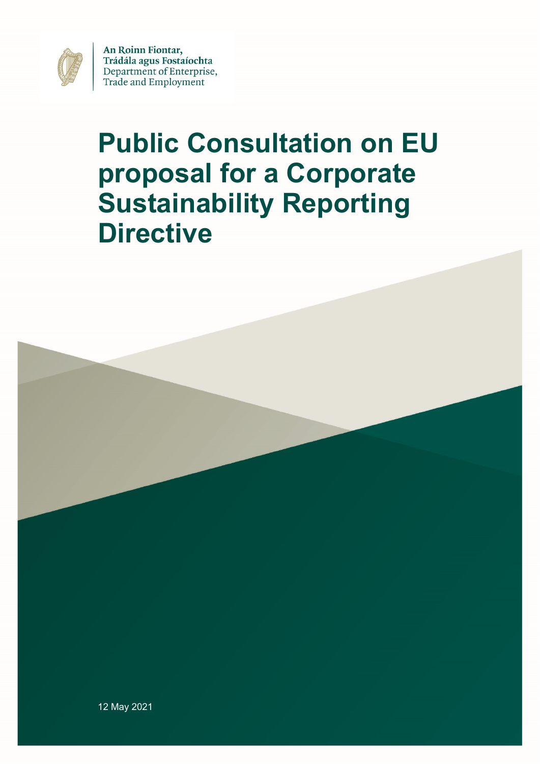

An Roinn Fiontar, Trádála agus Fostaíochta Department of Enterprise, Trade and Employment

# **Public Consultation on EU proposal for a Corporate Sustainability Reporting Directive**

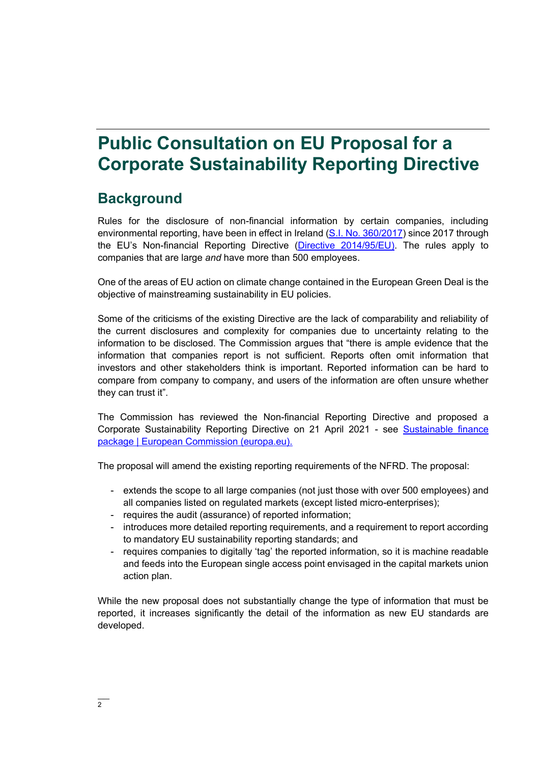## **Public Consultation on EU Proposal for a Corporate Sustainability Reporting Directive**

### **Background**

Rules for the disclosure of non-financial information by certain companies, including environmental reporting, have been in effect in Ireland [\(S.I. No. 360/2017\)](http://www.irishstatutebook.ie/eli/2017/si/360/made/en/print) since 2017 through the EU's Non-financial Reporting Directive [\(Directive 2014/95/EU\)](https://eur-lex.europa.eu/legal-content/EN/TXT/?uri=CELEX%3A32014L0095). The rules apply to companies that are large *and* have more than 500 employees.

One of the areas of EU action on climate change contained in the European Green Deal is the objective of mainstreaming sustainability in EU policies.

Some of the criticisms of the existing Directive are the lack of comparability and reliability of the current disclosures and complexity for companies due to uncertainty relating to the information to be disclosed. The Commission argues that "there is ample evidence that the information that companies report is not sufficient. Reports often omit information that investors and other stakeholders think is important. Reported information can be hard to compare from company to company, and users of the information are often unsure whether they can trust it".

The Commission has reviewed the Non-financial Reporting Directive and proposed a Corporate Sustainability Reporting Directive on 21 April 2021 - see [Sustainable finance](https://ec.europa.eu/info/publications/210421-sustainable-finance-communication_en#csrd)  [package | European Commission \(europa.eu\).](https://ec.europa.eu/info/publications/210421-sustainable-finance-communication_en#csrd)

The proposal will amend the existing reporting requirements of the NFRD. The proposal:

- extends the scope to all large companies (not just those with over 500 employees) and all companies listed on regulated markets (except listed micro-enterprises);
- requires the audit (assurance) of reported information;
- introduces more detailed reporting requirements, and a requirement to report according to mandatory EU sustainability reporting standards; and
- requires companies to digitally 'tag' the reported information, so it is machine readable and feeds into the European single access point envisaged in the capital markets union action plan.

While the new proposal does not substantially change the type of information that must be reported, it increases significantly the detail of the information as new EU standards are developed.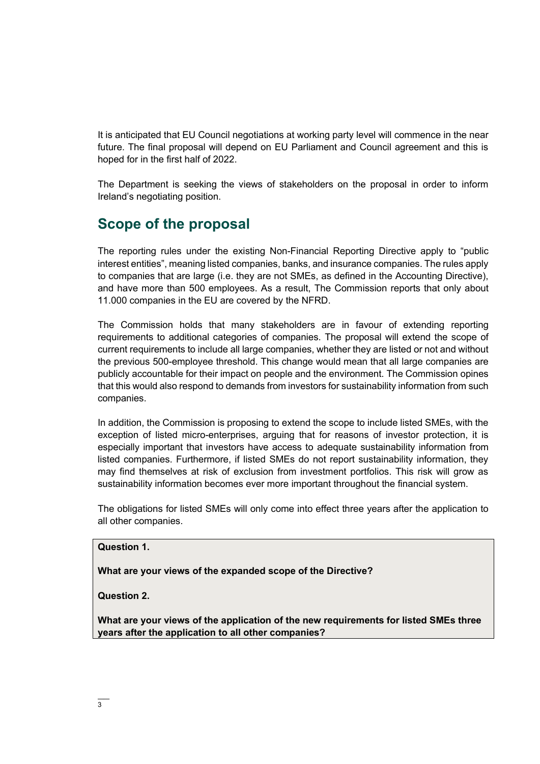It is anticipated that EU Council negotiations at working party level will commence in the near future. The final proposal will depend on EU Parliament and Council agreement and this is hoped for in the first half of 2022.

The Department is seeking the views of stakeholders on the proposal in order to inform Ireland's negotiating position.

### **Scope of the proposal**

The reporting rules under the existing Non-Financial Reporting Directive apply to "public interest entities", meaning listed companies, banks, and insurance companies. The rules apply to companies that are large (i.e. they are not SMEs, as defined in the Accounting Directive), and have more than 500 employees. As a result, The Commission reports that only about 11.000 companies in the EU are covered by the NFRD.

The Commission holds that many stakeholders are in favour of extending reporting requirements to additional categories of companies. The proposal will extend the scope of current requirements to include all large companies, whether they are listed or not and without the previous 500-employee threshold. This change would mean that all large companies are publicly accountable for their impact on people and the environment. The Commission opines that this would also respond to demands from investors for sustainability information from such companies.

In addition, the Commission is proposing to extend the scope to include listed SMEs, with the exception of listed micro-enterprises, arguing that for reasons of investor protection, it is especially important that investors have access to adequate sustainability information from listed companies. Furthermore, if listed SMEs do not report sustainability information, they may find themselves at risk of exclusion from investment portfolios. This risk will grow as sustainability information becomes ever more important throughout the financial system.

The obligations for listed SMEs will only come into effect three years after the application to all other companies.

#### **Question 1.**

**What are your views of the expanded scope of the Directive?**

**Question 2.**

**What are your views of the application of the new requirements for listed SMEs three years after the application to all other companies?**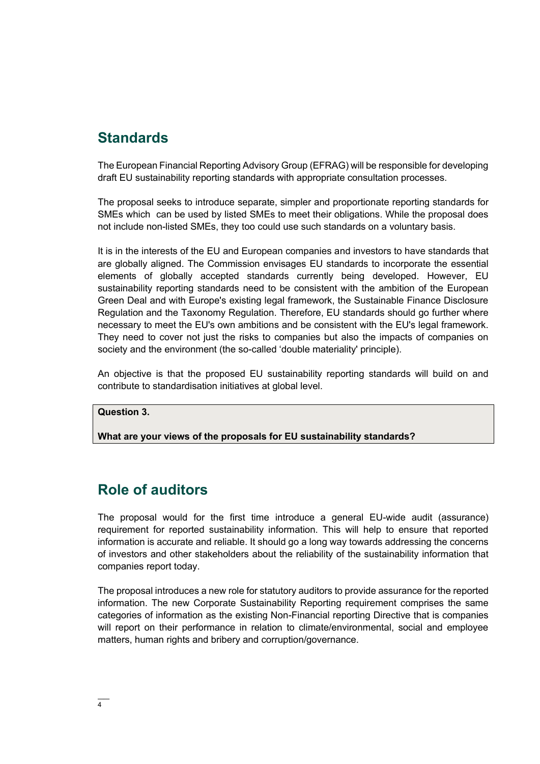### **Standards**

The European Financial Reporting Advisory Group (EFRAG) will be responsible for developing draft EU sustainability reporting standards with appropriate consultation processes.

The proposal seeks to introduce separate, simpler and proportionate reporting standards for SMEs which can be used by listed SMEs to meet their obligations. While the proposal does not include non-listed SMEs, they too could use such standards on a voluntary basis.

It is in the interests of the EU and European companies and investors to have standards that are globally aligned. The Commission envisages EU standards to incorporate the essential elements of globally accepted standards currently being developed. However, EU sustainability reporting standards need to be consistent with the ambition of the European Green Deal and with Europe's existing legal framework, the Sustainable Finance Disclosure Regulation and the Taxonomy Regulation. Therefore, EU standards should go further where necessary to meet the EU's own ambitions and be consistent with the EU's legal framework. They need to cover not just the risks to companies but also the impacts of companies on society and the environment (the so-called 'double materiality' principle).

An objective is that the proposed EU sustainability reporting standards will build on and contribute to standardisation initiatives at global level.

#### **Question 3.**

**What are your views of the proposals for EU sustainability standards?**

### **Role of auditors**

The proposal would for the first time introduce a general EU-wide audit (assurance) requirement for reported sustainability information. This will help to ensure that reported information is accurate and reliable. It should go a long way towards addressing the concerns of investors and other stakeholders about the reliability of the sustainability information that companies report today.

The proposal introduces a new role for statutory auditors to provide assurance for the reported information. The new Corporate Sustainability Reporting requirement comprises the same categories of information as the existing Non-Financial reporting Directive that is companies will report on their performance in relation to climate/environmental, social and employee matters, human rights and bribery and corruption/governance.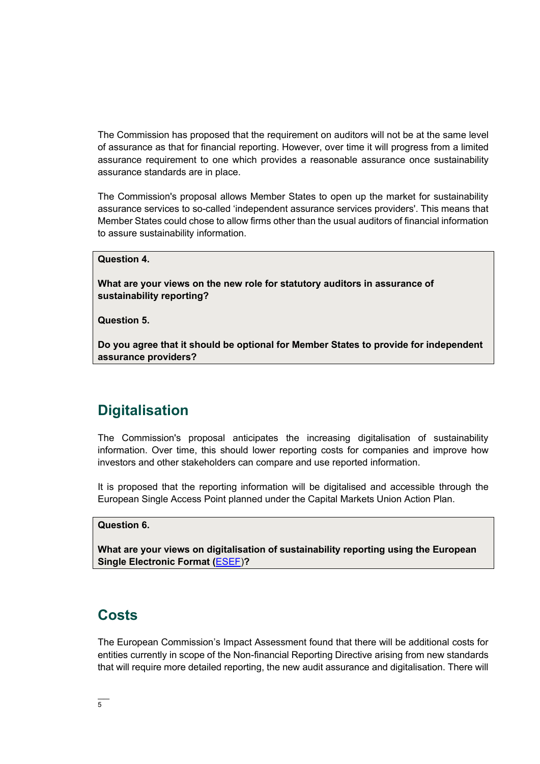The Commission has proposed that the requirement on auditors will not be at the same level of assurance as that for financial reporting. However, over time it will progress from a limited assurance requirement to one which provides a reasonable assurance once sustainability assurance standards are in place.

The Commission's proposal allows Member States to open up the market for sustainability assurance services to so-called 'independent assurance services providers'. This means that Member States could chose to allow firms other than the usual auditors of financial information to assure sustainability information.

#### **Question 4.**

**What are your views on the new role for statutory auditors in assurance of sustainability reporting?**

**Question 5.**

**Do you agree that it should be optional for Member States to provide for independent assurance providers?**

### **Digitalisation**

The Commission's proposal anticipates the increasing digitalisation of sustainability information. Over time, this should lower reporting costs for companies and improve how investors and other stakeholders can compare and use reported information.

It is proposed that the reporting information will be digitalised and accessible through the European Single Access Point planned under the Capital Markets Union Action Plan.

#### **Question 6.**

**What are your views on digitalisation of sustainability reporting using the European Single Electronic Format (**[ESEF\)](https://ec.europa.eu/info/business-economy-euro/company-reporting-and-auditing/company-reporting/transparency-requirements-listed-companies_en#esef)**?**

### **Costs**

The European Commission's Impact Assessment found that there will be additional costs for entities currently in scope of the Non-financial Reporting Directive arising from new standards that will require more detailed reporting, the new audit assurance and digitalisation. There will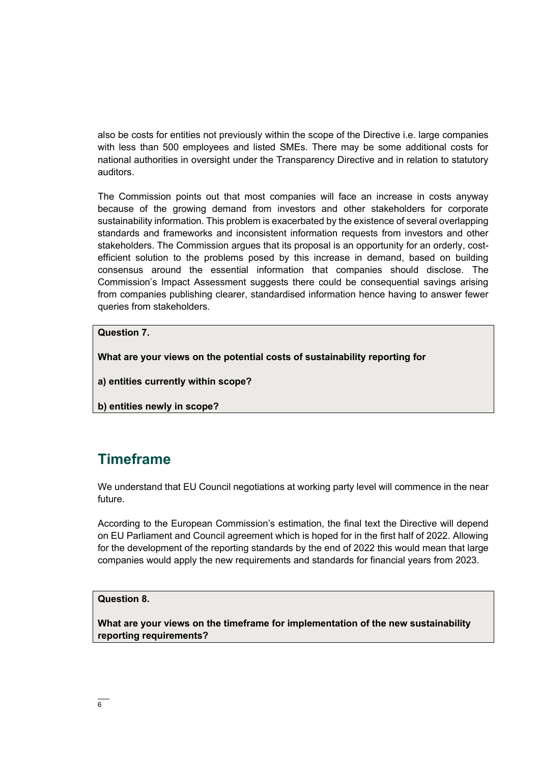also be costs for entities not previously within the scope of the Directive i.e. large companies with less than 500 employees and listed SMEs. There may be some additional costs for national authorities in oversight under the Transparency Directive and in relation to statutory auditors.

The Commission points out that most companies will face an increase in costs anyway because of the growing demand from investors and other stakeholders for corporate sustainability information. This problem is exacerbated by the existence of several overlapping standards and frameworks and inconsistent information requests from investors and other stakeholders. The Commission argues that its proposal is an opportunity for an orderly, costefficient solution to the problems posed by this increase in demand, based on building consensus around the essential information that companies should disclose. The Commission's Impact Assessment suggests there could be consequential savings arising from companies publishing clearer, standardised information hence having to answer fewer queries from stakeholders.

#### **Question 7.**

**What are your views on the potential costs of sustainability reporting for**

**a) entities currently within scope?** 

**b) entities newly in scope?**

### **Timeframe**

We understand that EU Council negotiations at working party level will commence in the near future.

According to the European Commission's estimation, the final text the Directive will depend on EU Parliament and Council agreement which is hoped for in the first half of 2022. Allowing for the development of the reporting standards by the end of 2022 this would mean that large companies would apply the new requirements and standards for financial years from 2023.

#### **Question 8.**

**What are your views on the timeframe for implementation of the new sustainability reporting requirements?**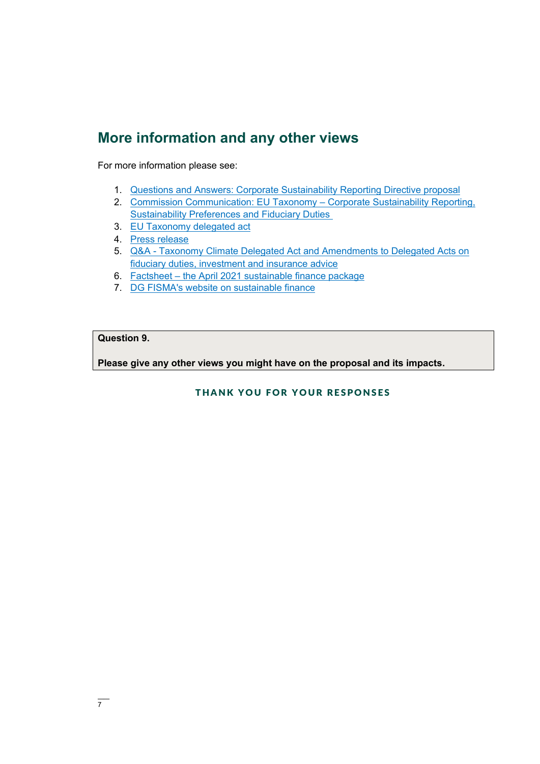### **More information and any other views**

For more information please see:

- 1. [Questions and Answers: Corporate Sustainability Reporting Directive proposal](https://ec.europa.eu/commission/presscorner/detail/en/qanda_21_1806)
- 2. [Commission Communication: EU Taxonomy](https://ec.europa.eu/info/publications/210421-sustainable-finance-communication_en)  Corporate Sustainability Reporting, [Sustainability Preferences and Fiduciary Duties](https://ec.europa.eu/info/publications/210421-sustainable-finance-communication_en)
- 3. [EU Taxonomy delegated act](https://ec.europa.eu/info/law/sustainable-finance-taxonomy-regulation-eu-2020-852/amending-and-supplementary-acts/implementing-and-delegated-acts_en)
- 4. [Press release](https://ec.europa.eu/commission/presscorner/detail/en/ip_21_1804)
- 5. Q&A [Taxonomy Climate Delegated Act and Amendments to Delegated Acts on](https://ec.europa.eu/commission/presscorner/detail/en/qanda_21_1805)  [fiduciary duties, investment and insurance advice](https://ec.europa.eu/commission/presscorner/detail/en/qanda_21_1805)
- 6. Factsheet [the April 2021 sustainable finance package](https://ec.europa.eu/info/files/sustainable-finance-communication-factsheet_en)
- 7. [DG FISMA's website on sustainable finance](https://ec.europa.eu/info/business-economy-euro/banking-and-finance/sustainable-finance_en)

#### **Question 9.**

**Please give any other views you might have on the proposal and its impacts.**

#### THANK YOU FOR YOUR RESPONSES